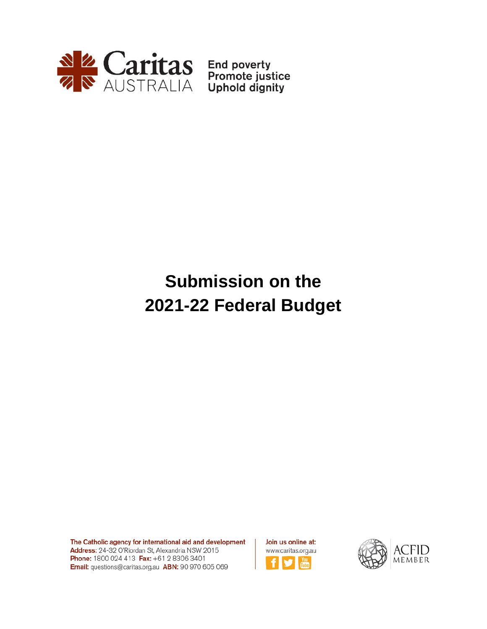

# **Submission on the 2021-22 Federal Budget**

The Catholic agency for international aid and development Address: 24-32 O'Riordan St, Alexandria NSW 2015 Phone: 1800 024 413 Fax: +61 2 8306 3401 Email: questions@caritas.org.au ABN: 90 970 605 069

Join us online at: www.caritas.org.au

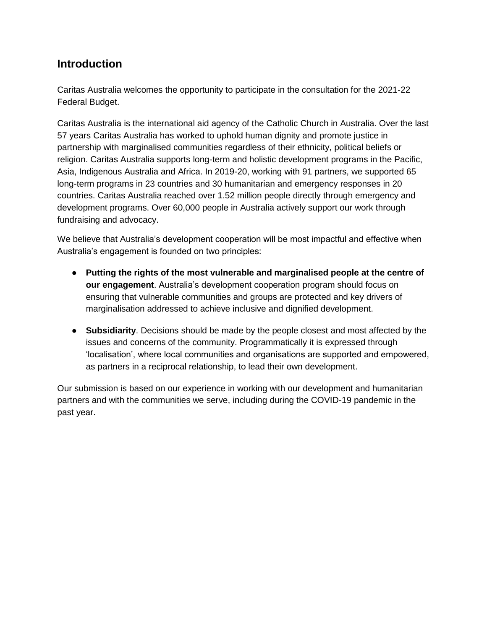### **Introduction**

Caritas Australia welcomes the opportunity to participate in the consultation for the 2021-22 Federal Budget.

Caritas Australia is the international aid agency of the Catholic Church in Australia. Over the last 57 years Caritas Australia has worked to uphold human dignity and promote justice in partnership with marginalised communities regardless of their ethnicity, political beliefs or religion. Caritas Australia supports long-term and holistic development programs in the Pacific, Asia, Indigenous Australia and Africa. In 2019-20, working with 91 partners, we supported 65 long-term programs in 23 countries and 30 humanitarian and emergency responses in 20 countries. Caritas Australia reached over 1.52 million people directly through emergency and development programs. Over 60,000 people in Australia actively support our work through fundraising and advocacy.

We believe that Australia's development cooperation will be most impactful and effective when Australia's engagement is founded on two principles:

- **Putting the rights of the most vulnerable and marginalised people at the centre of our engagement**. Australia's development cooperation program should focus on ensuring that vulnerable communities and groups are protected and key drivers of marginalisation addressed to achieve inclusive and dignified development.
- **Subsidiarity**. Decisions should be made by the people closest and most affected by the issues and concerns of the community. Programmatically it is expressed through 'localisation', where local communities and organisations are supported and empowered, as partners in a reciprocal relationship, to lead their own development.

Our submission is based on our experience in working with our development and humanitarian partners and with the communities we serve, including during the COVID-19 pandemic in the past year.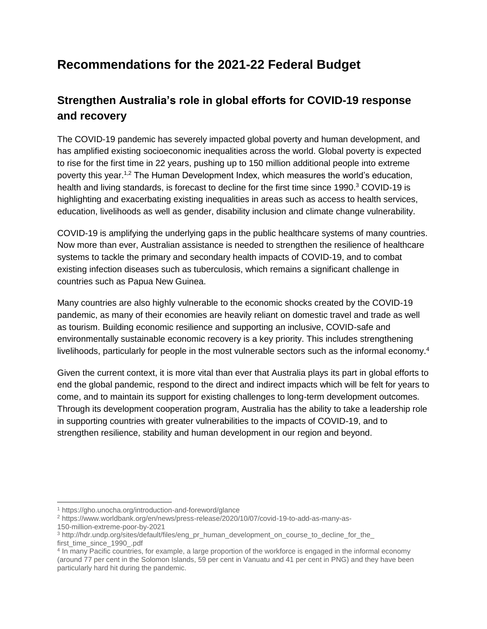# **Recommendations for the 2021-22 Federal Budget**

# **Strengthen Australia's role in global efforts for COVID-19 response and recovery**

The COVID-19 pandemic has severely impacted global poverty and human development, and has amplified existing socioeconomic inequalities across the world. Global poverty is expected to rise for the first time in 22 years, pushing up to 150 million additional people into extreme poverty this year.1,2 The Human Development Index, which measures the world's education, health and living standards, is forecast to decline for the first time since 1990.<sup>3</sup> COVID-19 is highlighting and exacerbating existing inequalities in areas such as access to health services, education, livelihoods as well as gender, disability inclusion and climate change vulnerability.

COVID-19 is amplifying the underlying gaps in the public healthcare systems of many countries. Now more than ever, Australian assistance is needed to strengthen the resilience of healthcare systems to tackle the primary and secondary health impacts of COVID-19, and to combat existing infection diseases such as tuberculosis, which remains a significant challenge in countries such as Papua New Guinea.

Many countries are also highly vulnerable to the economic shocks created by the COVID-19 pandemic, as many of their economies are heavily reliant on domestic travel and trade as well as tourism. Building economic resilience and supporting an inclusive, COVID-safe and environmentally sustainable economic recovery is a key priority. This includes strengthening livelihoods, particularly for people in the most vulnerable sectors such as the informal economy.<sup>4</sup>

Given the current context, it is more vital than ever that Australia plays its part in global efforts to end the global pandemic, respond to the direct and indirect impacts which will be felt for years to come, and to maintain its support for existing challenges to long-term development outcomes. Through its development cooperation program, Australia has the ability to take a leadership role in supporting countries with greater vulnerabilities to the impacts of COVID-19, and to strengthen resilience, stability and human development in our region and beyond.

<sup>1</sup> <https://gho.unocha.org/introduction-and-foreword/glance>

<sup>2</sup> <https://www.worldbank.org/en/news/press-release/2020/10/07/covid-19-to-add-as-many-as->

<sup>150-</sup>million-extreme-poor-by-2021

<sup>&</sup>lt;sup>3</sup> http://hdr.undp.org/sites/default/files/eng\_pr\_human\_development\_on\_course\_to\_decline\_for\_the first\_time\_since\_1990\_.pdf

<sup>4</sup> In many Pacific countries, for example, a large proportion of the workforce is engaged in the informal economy (around 77 per cent in the Solomon Islands, 59 per cent in Vanuatu and 41 per cent in PNG) and they have been particularly hard hit during the pandemic.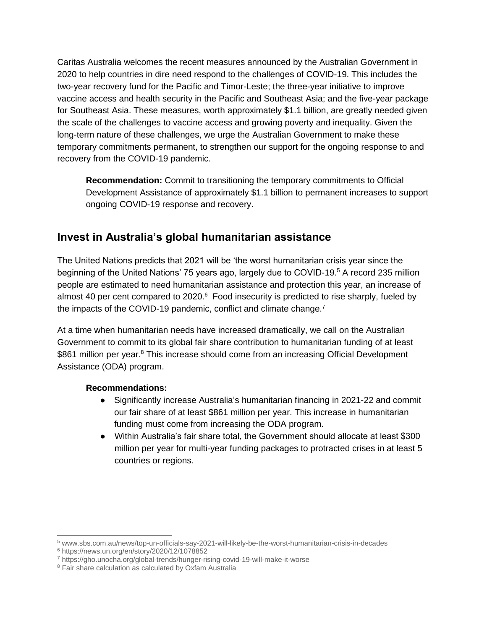Caritas Australia welcomes the recent measures announced by the Australian Government in 2020 to help countries in dire need respond to the challenges of COVID-19. This includes the two-year recovery fund for the Pacific and Timor-Leste; the three-year initiative to improve vaccine access and health security in the Pacific and Southeast Asia; and the five-year package for Southeast Asia. These measures, worth approximately \$1.1 billion, are greatly needed given the scale of the challenges to vaccine access and growing poverty and inequality. Given the long-term nature of these challenges, we urge the Australian Government to make these temporary commitments permanent, to strengthen our support for the ongoing response to and recovery from the COVID-19 pandemic.

**Recommendation:** Commit to transitioning the temporary commitments to Official Development Assistance of approximately \$1.1 billion to permanent increases to support ongoing COVID-19 response and recovery.

### **Invest in Australia's global humanitarian assistance**

The United Nations predicts that 2021 will be 'the worst humanitarian crisis year since the beginning of the United Nations' 75 years ago, largely due to COVID-19.<sup>5</sup> A record 235 million people are estimated to need humanitarian assistance and protection this year, an increase of almost 40 per cent compared to 2020.<sup>6</sup> Food insecurity is predicted to rise sharply, fueled by the impacts of the COVID-19 pandemic, conflict and climate change.<sup>7</sup>

At a time when humanitarian needs have increased dramatically, we call on the Australian Government to commit to its global fair share contribution to humanitarian funding of at least \$861 million per year.<sup>8</sup> This increase should come from an increasing Official Development Assistance (ODA) program.

### **Recommendations:**

- Significantly increase Australia's humanitarian financing in 2021-22 and commit our fair share of at least \$861 million per year. This increase in humanitarian funding must come from increasing the ODA program.
- Within Australia's fair share total, the Government should allocate at least \$300 million per year for multi-year funding packages to protracted crises in at least 5 countries or regions.

 $\overline{a}$ 

 $^5$  [www.sbs.com.au/news/top-un-officials-say-2021-will-likely-be-the-worst-humanitarian-crisis-in-decades](http://www.sbs.com.au/news/top-un-officials-say-2021-will-likely-be-the-worst-humanitarian-crisis-in-decades)

<sup>6</sup> <https://news.un.org/en/story/2020/12/1078852>

<sup>7</sup> <https://gho.unocha.org/global-trends/hunger-rising-covid-19-will-make-it-worse>

<sup>8</sup> Fair share calculation as calculated by Oxfam Australia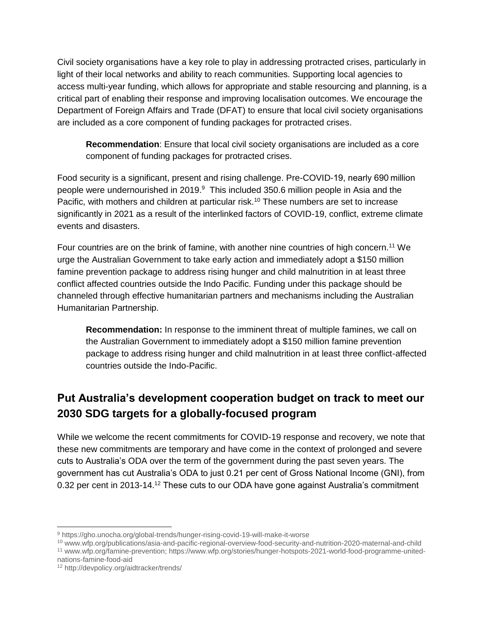Civil society organisations have a key role to play in addressing protracted crises, particularly in light of their local networks and ability to reach communities. Supporting local agencies to access multi-year funding, which allows for appropriate and stable resourcing and planning, is a critical part of enabling their response and improving localisation outcomes. We encourage the Department of Foreign Affairs and Trade (DFAT) to ensure that local civil society organisations are included as a core component of funding packages for protracted crises.

**Recommendation**: Ensure that local civil society organisations are included as a core component of funding packages for protracted crises.

Food security is a significant, present and rising challenge. Pre-COVID-19, nearly 690 million people were undernourished in 2019.<sup>9</sup> This included 350.6 million people in Asia and the Pacific, with mothers and children at particular risk.<sup>10</sup> These numbers are set to increase significantly in 2021 as a result of the interlinked factors of COVID-19, conflict, extreme climate events and disasters.

Four countries are on the brink of famine, with another nine countries of high concern.<sup>11</sup> We urge the Australian Government to take early action and immediately adopt a \$150 million famine prevention package to address rising hunger and child malnutrition in at least three conflict affected countries outside the Indo Pacific. Funding under this package should be channeled through effective humanitarian partners and mechanisms including the Australian Humanitarian Partnership.

**Recommendation:** In response to the imminent threat of multiple famines, we call on the Australian Government to immediately adopt a \$150 million famine prevention package to address rising hunger and child malnutrition in at least three conflict-affected countries outside the Indo-Pacific.

# **Put Australia's development cooperation budget on track to meet our 2030 SDG targets for a globally-focused program**

While we welcome the recent commitments for COVID-19 response and recovery, we note that these new commitments are temporary and have come in the context of prolonged and severe cuts to Australia's ODA over the term of the government during the past seven years. The government has cut Australia's ODA to just 0.21 per cent of Gross National Income (GNI), from 0.32 per cent in 2013-14.<sup>12</sup> These cuts to our ODA have gone against Australia's commitment

<sup>10</sup> [www.wfp.org/publications/asia-and-pacific-regional-overview-food-security-and-nutrition-2020-maternal-and-child](http://www.wfp.org/publications/asia-and-pacific-regional-overview-food-security-and-nutrition-2020-maternal-and-child)

<sup>11</sup> [www.wfp.org/famine-prevention;](https://www.wfp.org/famine-prevention) [https://www.wfp.org/stories/hunger-hotspots-2021-world-food-programme-united](https://www.wfp.org/stories/hunger-hotspots-2021-world-food-programme-united-nations-famine-food-aid)[nations-famine-food-aid](https://www.wfp.org/stories/hunger-hotspots-2021-world-food-programme-united-nations-famine-food-aid)

<sup>9</sup> <https://gho.unocha.org/global-trends/hunger-rising-covid-19-will-make-it-worse>

<sup>12</sup> <http://devpolicy.org/aidtracker/trends/>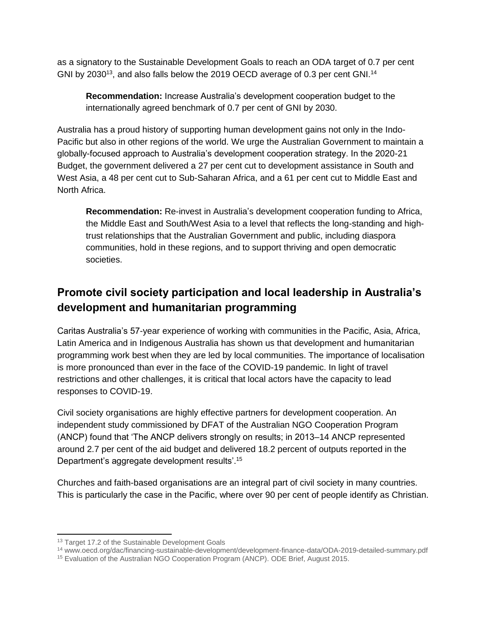as a signatory to the Sustainable Development Goals to reach an ODA target of 0.7 per cent GNI by 2030<sup>13</sup>, and also falls below the 2019 OECD average of 0.3 per cent GNI.<sup>14</sup>

**Recommendation:** Increase Australia's development cooperation budget to the internationally agreed benchmark of 0.7 per cent of GNI by 2030.

Australia has a proud history of supporting human development gains not only in the Indo-Pacific but also in other regions of the world. We urge the Australian Government to maintain a globally-focused approach to Australia's development cooperation strategy. In the 2020-21 Budget, the government delivered a 27 per cent cut to development assistance in South and West Asia, a 48 per cent cut to Sub-Saharan Africa, and a 61 per cent cut to Middle East and North Africa.

**Recommendation:** Re-invest in Australia's development cooperation funding to Africa, the Middle East and South/West Asia to a level that reflects the long-standing and hightrust relationships that the Australian Government and public, including diaspora communities, hold in these regions, and to support thriving and open democratic societies.

# **Promote civil society participation and local leadership in Australia's development and humanitarian programming**

Caritas Australia's 57-year experience of working with communities in the Pacific, Asia, Africa, Latin America and in Indigenous Australia has shown us that development and humanitarian programming work best when they are led by local communities. The importance of localisation is more pronounced than ever in the face of the COVID-19 pandemic. In light of travel restrictions and other challenges, it is critical that local actors have the capacity to lead responses to COVID-19.

Civil society organisations are highly effective partners for development cooperation. An independent study commissioned by DFAT of the Australian NGO Cooperation Program (ANCP) found that 'The ANCP delivers strongly on results; in 2013–14 ANCP represented around 2.7 per cent of the aid budget and delivered 18.2 percent of outputs reported in the Department's aggregate development results'.<sup>15</sup>

Churches and faith-based organisations are an integral part of civil society in many countries. This is particularly the case in the Pacific, where over 90 per cent of people identify as Christian.

 $\overline{a}$ 

<sup>&</sup>lt;sup>13</sup> Target 17.2 of the Sustainable Development Goals

<sup>14</sup> [www.oecd.org/dac/financing-sustainable-development/development-finance-data/ODA-2019-detailed-summary.pdf](http://www.oecd.org/dac/financing-sustainable-development/development-finance-data/ODA-2019-detailed-summary.pdf)

<sup>15</sup> [Evaluation of the Australian NGO Cooperation Program \(ANCP\).](https://www.dfat.gov.au/sites/default/files/ode-brief-evaluation-australian-ngo-cooperation-program.pdf) ODE Brief, August 2015.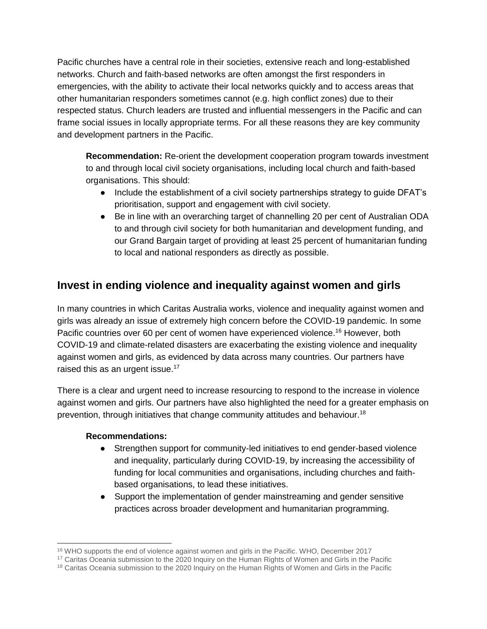Pacific churches have a central role in their societies, extensive reach and long-established networks. Church and faith-based networks are often amongst the first responders in emergencies, with the ability to activate their local networks quickly and to access areas that other humanitarian responders sometimes cannot (e.g. high conflict zones) due to their respected status. Church leaders are trusted and influential messengers in the Pacific and can frame social issues in locally appropriate terms. For all these reasons they are key community and development partners in the Pacific.

**Recommendation:** Re-orient the development cooperation program towards investment to and through local civil society organisations, including local church and faith-based organisations. This should:

- Include the establishment of a civil society partnerships strategy to guide DFAT's prioritisation, support and engagement with civil society.
- Be in line with an overarching target of channelling 20 per cent of Australian ODA to and through civil society for both humanitarian and development funding, and our Grand Bargain target of providing at least 25 percent of humanitarian funding to local and national responders as directly as possible.

### **Invest in ending violence and inequality against women and girls**

In many countries in which Caritas Australia works, violence and inequality against women and girls was already an issue of extremely high concern before the COVID-19 pandemic. In some Pacific countries over 60 per cent of women have experienced violence.<sup>16</sup> However, both COVID-19 and climate-related disasters are exacerbating the existing violence and inequality against women and girls, as evidenced by data across many countries. Our partners have raised this as an urgent issue.<sup>17</sup>

There is a clear and urgent need to increase resourcing to respond to the increase in violence against women and girls. Our partners have also highlighted the need for a greater emphasis on prevention, through initiatives that change community attitudes and behaviour.<sup>18</sup>

### **Recommendations:**

- Strengthen support for community-led initiatives to end gender-based violence and inequality, particularly during COVID-19, by increasing the accessibility of funding for local communities and organisations, including churches and faithbased organisations, to lead these initiatives.
- Support the implementation of gender mainstreaming and gender sensitive practices across broader development and humanitarian programming.

 <sup>16</sup> [WHO supports the end of violence against women and girls in the Pacific.](http://www.who.int/westernpacific/about/how-we-work/pacific-support/news/detail/12-12-2017-who-supports-the-end-of-violence-against-women-and-girls-in-the-pacific) WHO, December 2017

<sup>&</sup>lt;sup>17</sup> [Caritas Oceania submission to the 2020 Inquiry on the Human Rights of Women and Girls in the Pacific](https://www.aph.gov.au/DocumentStore.ashx?id=7434d11d-1d63-4502-8503-1e23e9ea3aa5&subId=695615)

<sup>&</sup>lt;sup>18</sup> [Caritas Oceania submission to the 2020 Inquiry on the Human Rights of Women and Girls in the Pacific](https://www.aph.gov.au/DocumentStore.ashx?id=7434d11d-1d63-4502-8503-1e23e9ea3aa5&subId=695615)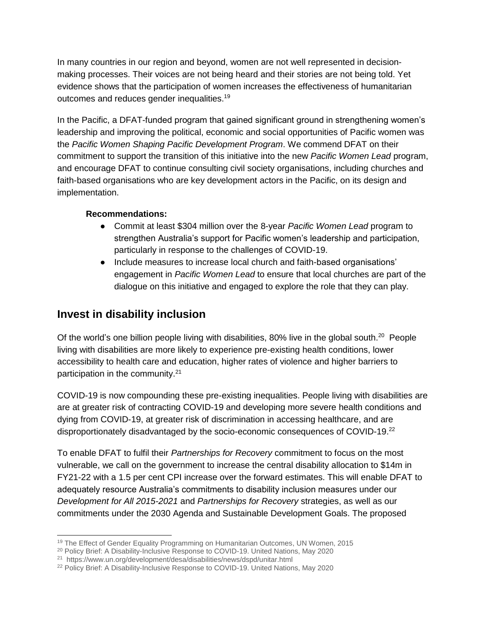In many countries in our region and beyond, women are not well represented in decisionmaking processes. Their voices are not being heard and their stories are not being told. Yet evidence shows that the participation of women increases the effectiveness of humanitarian outcomes and reduces gender inequalities.<sup>19</sup>

In the Pacific, a DFAT-funded program that gained significant ground in strengthening women's leadership and improving the political, economic and social opportunities of Pacific women was the *Pacific Women Shaping Pacific Development Program*. We commend DFAT on their commitment to support the transition of this initiative into the new *Pacific Women Lead* program, and encourage DFAT to continue consulting civil society organisations, including churches and faith-based organisations who are key development actors in the Pacific, on its design and implementation.

#### **Recommendations:**

- Commit at least \$304 million over the 8-year *Pacific Women Lead* program to strengthen Australia's support for Pacific women's leadership and participation, particularly in response to the challenges of COVID-19.
- Include measures to increase local church and faith-based organisations' engagement in *Pacific Women Lead* to ensure that local churches are part of the dialogue on this initiative and engaged to explore the role that they can play.

### **Invest in disability inclusion**

Of the world's one billion people living with disabilities, 80% live in the global south.<sup>20</sup> People living with disabilities are more likely to experience pre-existing health conditions, lower accessibility to health care and education, higher rates of violence and higher barriers to participation in the community.<sup>21</sup>

COVID-19 is now compounding these pre-existing inequalities. People living with disabilities are are at greater risk of contracting COVID-19 and developing more severe health conditions and dying from COVID-19, at greater risk of discrimination in accessing healthcare, and are disproportionately disadvantaged by the socio-economic consequences of COVID-19.<sup>22</sup>

To enable DFAT to fulfil their *Partnerships for Recovery* commitment to focus on the most vulnerable, we call on the government to increase the central disability allocation to \$14m in FY21-22 with a 1.5 per cent CPI increase over the forward estimates. This will enable DFAT to adequately resource Australia's commitments to disability inclusion measures under our *Development for All 2015-2021* and *Partnerships for Recovery* strategies, as well as our commitments under the 2030 Agenda and Sustainable Development Goals. The proposed

 $\overline{a}$ <sup>19</sup> [The Effect of Gender Equality Programming on Humanitarian Outcomes,](https://www.unwomen.org/en/digital-library/publications/2015/7/the-effect-of-gender-equality-programming-on-humanitarian-outcomes) UN Women, 2015

<sup>20</sup> [Policy Brief: A Disability-Inclusive Response to COVID-19. United Nations, May 2020](https://www.un.org/development/desa/disabilities/wp-content/uploads/sites/15/2020/05/sg_policy_brief_on_persons_with_disabilities_final.pdf)

<sup>&</sup>lt;sup>21</sup><https://www.un.org/development/desa/disabilities/news/dspd/unitar.html>

<sup>&</sup>lt;sup>22</sup> [Policy Brief: A Disability-Inclusive Response to COVID-19. United Nations, May 2020](https://www.un.org/development/desa/disabilities/wp-content/uploads/sites/15/2020/05/sg_policy_brief_on_persons_with_disabilities_final.pdf)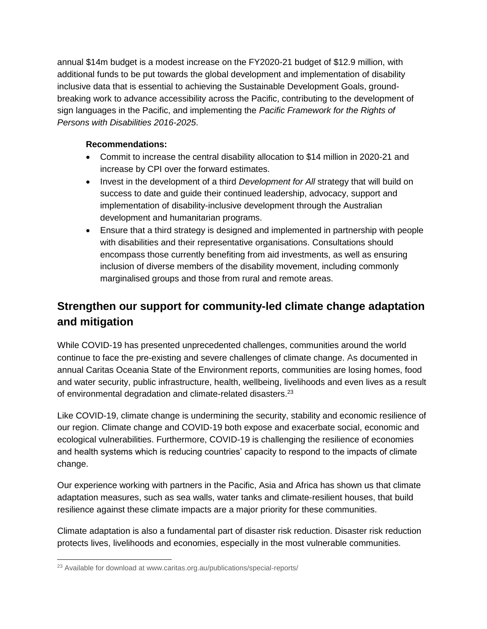annual \$14m budget is a modest increase on the FY2020-21 budget of \$12.9 million, with additional funds to be put towards the global development and implementation of disability inclusive data that is essential to achieving the Sustainable Development Goals, groundbreaking work to advance accessibility across the Pacific, contributing to the development of sign languages in the Pacific, and implementing the *Pacific Framework for the Rights of Persons with Disabilities 2016-2025*.

### **Recommendations:**

- Commit to increase the central disability allocation to \$14 million in 2020-21 and increase by CPI over the forward estimates.
- Invest in the development of a third *Development for All* strategy that will build on success to date and guide their continued leadership, advocacy, support and implementation of disability-inclusive development through the Australian development and humanitarian programs.
- Ensure that a third strategy is designed and implemented in partnership with people with disabilities and their representative organisations. Consultations should encompass those currently benefiting from aid investments, as well as ensuring inclusion of diverse members of the disability movement, including commonly marginalised groups and those from rural and remote areas.

## **Strengthen our support for community-led climate change adaptation and mitigation**

While COVID-19 has presented unprecedented challenges, communities around the world continue to face the pre-existing and severe challenges of climate change. As documented in annual Caritas Oceania State of the Environment reports, communities are losing homes, food and water security, public infrastructure, health, wellbeing, livelihoods and even lives as a result of environmental degradation and climate-related disasters.<sup>23</sup>

Like COVID-19, climate change is undermining the security, stability and economic resilience of our region. Climate change and COVID-19 both expose and exacerbate social, economic and ecological vulnerabilities. Furthermore, COVID-19 is challenging the resilience of economies and health systems which is reducing countries' capacity to respond to the impacts of climate change.

Our experience working with partners in the Pacific, Asia and Africa has shown us that climate adaptation measures, such as sea walls, water tanks and climate-resilient houses, that build resilience against these climate impacts are a major priority for these communities.

Climate adaptation is also a fundamental part of disaster risk reduction. Disaster risk reduction protects lives, livelihoods and economies, especially in the most vulnerable communities.

 <sup>23</sup> Available for download at [www.caritas.org.au/publications/special-reports/](http://www.caritas.org.au/publications/special-reports/)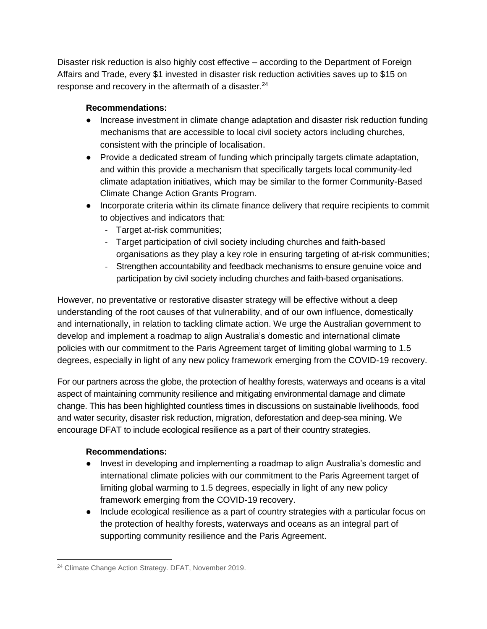Disaster risk reduction is also highly cost effective – according to the Department of Foreign Affairs and Trade, every \$1 invested in disaster risk reduction activities saves up to \$15 on response and recovery in the aftermath of a disaster. $24$ 

### **Recommendations:**

- Increase investment in climate change adaptation and disaster risk reduction funding mechanisms that are accessible to local civil society actors including churches, consistent with the principle of localisation.
- Provide a dedicated stream of funding which principally targets climate adaptation, and within this provide a mechanism that specifically targets local community-led climate adaptation initiatives, which may be similar to the former Community-Based Climate Change Action Grants Program.
- Incorporate criteria within its climate finance delivery that require recipients to commit to objectives and indicators that:
	- Target at-risk communities;
	- Target participation of civil society including churches and faith-based organisations as they play a key role in ensuring targeting of at-risk communities;
	- Strengthen accountability and feedback mechanisms to ensure genuine voice and participation by civil society including churches and faith-based organisations.

However, no preventative or restorative disaster strategy will be effective without a deep understanding of the root causes of that vulnerability, and of our own influence, domestically and internationally, in relation to tackling climate action. We urge the Australian government to develop and implement a roadmap to align Australia's domestic and international climate policies with our commitment to the Paris Agreement target of limiting global warming to 1.5 degrees, especially in light of any new policy framework emerging from the COVID-19 recovery.

For our partners across the globe, the protection of healthy forests, waterways and oceans is a vital aspect of maintaining community resilience and mitigating environmental damage and climate change. This has been highlighted countless times in discussions on sustainable livelihoods, food and water security, disaster risk reduction, migration, deforestation and deep-sea mining. We encourage DFAT to include ecological resilience as a part of their country strategies.

### **Recommendations:**

- Invest in developing and implementing a roadmap to align Australia's domestic and international climate policies with our commitment to the Paris Agreement target of limiting global warming to 1.5 degrees, especially in light of any new policy framework emerging from the COVID-19 recovery.
- Include ecological resilience as a part of country strategies with a particular focus on the protection of healthy forests, waterways and oceans as an integral part of supporting community resilience and the Paris Agreement.

 <sup>24</sup> Climate Change Action Strategy. DFAT, November 2019.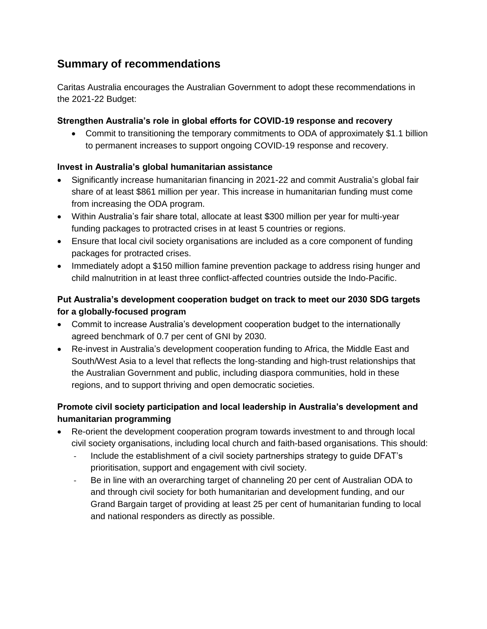### **Summary of recommendations**

Caritas Australia encourages the Australian Government to adopt these recommendations in the 2021-22 Budget:

### **Strengthen Australia's role in global efforts for COVID-19 response and recovery**

• Commit to transitioning the temporary commitments to ODA of approximately \$1.1 billion to permanent increases to support ongoing COVID-19 response and recovery.

### **Invest in Australia's global humanitarian assistance**

- Significantly increase humanitarian financing in 2021-22 and commit Australia's global fair share of at least \$861 million per year. This increase in humanitarian funding must come from increasing the ODA program.
- Within Australia's fair share total, allocate at least \$300 million per year for multi-year funding packages to protracted crises in at least 5 countries or regions.
- Ensure that local civil society organisations are included as a core component of funding packages for protracted crises.
- Immediately adopt a \$150 million famine prevention package to address rising hunger and child malnutrition in at least three conflict-affected countries outside the Indo-Pacific.

### **Put Australia's development cooperation budget on track to meet our 2030 SDG targets for a globally-focused program**

- Commit to increase Australia's development cooperation budget to the internationally agreed benchmark of 0.7 per cent of GNI by 2030.
- Re-invest in Australia's development cooperation funding to Africa, the Middle East and South/West Asia to a level that reflects the long-standing and high-trust relationships that the Australian Government and public, including diaspora communities, hold in these regions, and to support thriving and open democratic societies.

### **Promote civil society participation and local leadership in Australia's development and humanitarian programming**

- Re-orient the development cooperation program towards investment to and through local civil society organisations, including local church and faith-based organisations. This should:
	- Include the establishment of a civil society partnerships strategy to quide DFAT's prioritisation, support and engagement with civil society.
	- Be in line with an overarching target of channeling 20 per cent of Australian ODA to and through civil society for both humanitarian and development funding, and our Grand Bargain target of providing at least 25 per cent of humanitarian funding to local and national responders as directly as possible.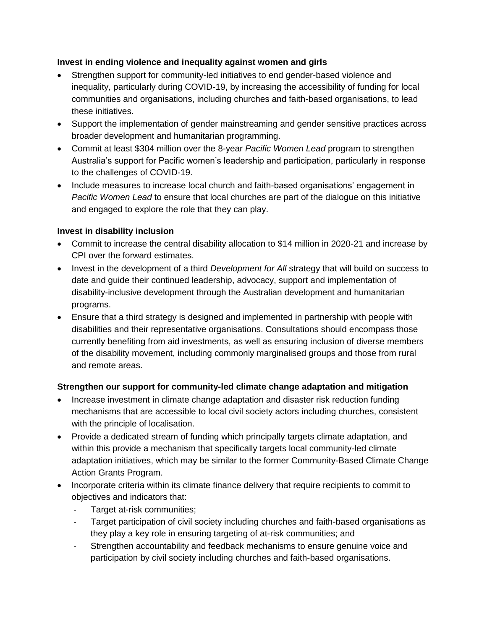### **Invest in ending violence and inequality against women and girls**

- Strengthen support for community-led initiatives to end gender-based violence and inequality, particularly during COVID-19, by increasing the accessibility of funding for local communities and organisations, including churches and faith-based organisations, to lead these initiatives.
- Support the implementation of gender mainstreaming and gender sensitive practices across broader development and humanitarian programming.
- Commit at least \$304 million over the 8-year *Pacific Women Lead* program to strengthen Australia's support for Pacific women's leadership and participation, particularly in response to the challenges of COVID-19.
- Include measures to increase local church and faith-based organisations' engagement in *Pacific Women Lead* to ensure that local churches are part of the dialogue on this initiative and engaged to explore the role that they can play.

### **Invest in disability inclusion**

- Commit to increase the central disability allocation to \$14 million in 2020-21 and increase by CPI over the forward estimates.
- Invest in the development of a third *Development for All* strategy that will build on success to date and guide their continued leadership, advocacy, support and implementation of disability-inclusive development through the Australian development and humanitarian programs.
- Ensure that a third strategy is designed and implemented in partnership with people with disabilities and their representative organisations. Consultations should encompass those currently benefiting from aid investments, as well as ensuring inclusion of diverse members of the disability movement, including commonly marginalised groups and those from rural and remote areas.

### **Strengthen our support for community-led climate change adaptation and mitigation**

- Increase investment in climate change adaptation and disaster risk reduction funding mechanisms that are accessible to local civil society actors including churches, consistent with the principle of localisation.
- Provide a dedicated stream of funding which principally targets climate adaptation, and within this provide a mechanism that specifically targets local community-led climate adaptation initiatives, which may be similar to the former Community-Based Climate Change Action Grants Program.
- Incorporate criteria within its climate finance delivery that require recipients to commit to objectives and indicators that:
	- Target at-risk communities;
	- Target participation of civil society including churches and faith-based organisations as they play a key role in ensuring targeting of at-risk communities; and
	- Strengthen accountability and feedback mechanisms to ensure genuine voice and participation by civil society including churches and faith-based organisations.